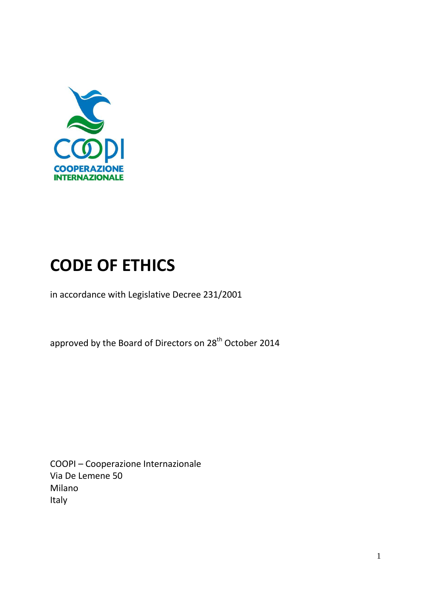

# **CODE OF ETHICS**

in accordance with Legislative Decree 231/2001

approved by the Board of Directors on 28<sup>th</sup> October 2014

COOPI – Cooperazione Internazionale Via De Lemene 50 Milano Italy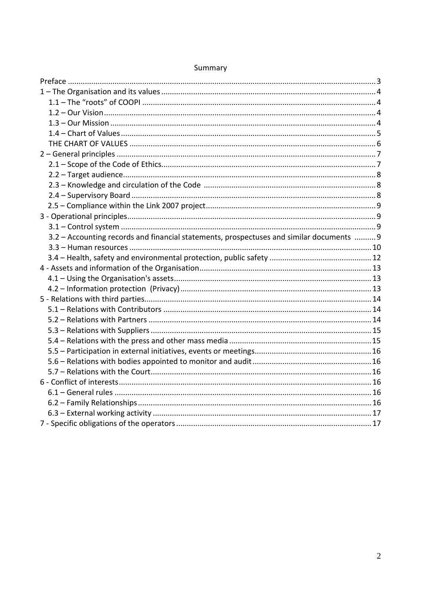| 3.2 - Accounting records and financial statements, prospectuses and similar documents  9 |  |
|------------------------------------------------------------------------------------------|--|
|                                                                                          |  |
|                                                                                          |  |
|                                                                                          |  |
|                                                                                          |  |
|                                                                                          |  |
|                                                                                          |  |
|                                                                                          |  |
|                                                                                          |  |
|                                                                                          |  |
|                                                                                          |  |
|                                                                                          |  |
|                                                                                          |  |
|                                                                                          |  |
|                                                                                          |  |
|                                                                                          |  |
|                                                                                          |  |
|                                                                                          |  |
|                                                                                          |  |

# Summary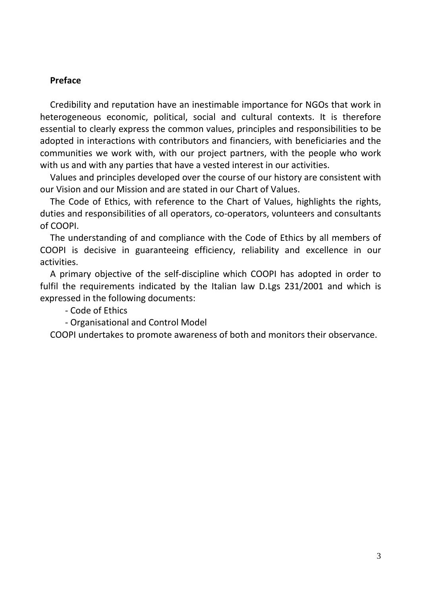## **Preface**

Credibility and reputation have an inestimable importance for NGOs that work in heterogeneous economic, political, social and cultural contexts. It is therefore essential to clearly express the common values, principles and responsibilities to be adopted in interactions with contributors and financiers, with beneficiaries and the communities we work with, with our project partners, with the people who work with us and with any parties that have a vested interest in our activities.

Values and principles developed over the course of our history are consistent with our Vision and our Mission and are stated in our Chart of Values.

The Code of Ethics, with reference to the Chart of Values, highlights the rights, duties and responsibilities of all operators, co-operators, volunteers and consultants of COOPI.

The understanding of and compliance with the Code of Ethics by all members of COOPI is decisive in guaranteeing efficiency, reliability and excellence in our activities.

A primary objective of the self-discipline which COOPI has adopted in order to fulfil the requirements indicated by the Italian law D.Lgs 231/2001 and which is expressed in the following documents:

- Code of Ethics

- Organisational and Control Model

COOPI undertakes to promote awareness of both and monitors their observance.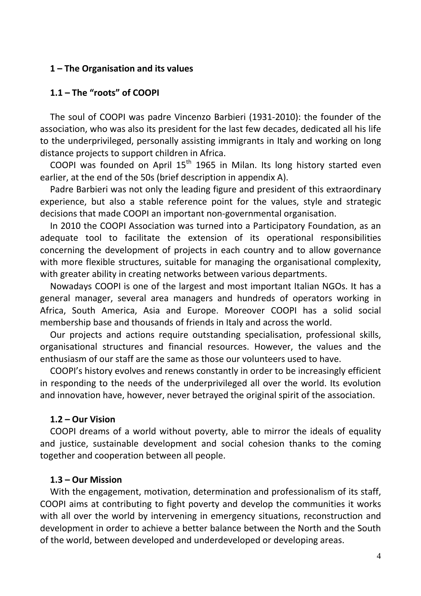#### **1 – The Organisation and its values**

#### **1.1 – The "roots" of COOPI**

The soul of COOPI was padre Vincenzo Barbieri (1931-2010): the founder of the association, who was also its president for the last few decades, dedicated all his life to the underprivileged, personally assisting immigrants in Italy and working on long distance projects to support children in Africa.

COOPI was founded on April  $15<sup>th</sup>$  1965 in Milan. Its long history started even earlier, at the end of the 50s (brief description in appendix A).

Padre Barbieri was not only the leading figure and president of this extraordinary experience, but also a stable reference point for the values, style and strategic decisions that made COOPI an important non-governmental organisation.

In 2010 the COOPI Association was turned into a Participatory Foundation, as an adequate tool to facilitate the extension of its operational responsibilities concerning the development of projects in each country and to allow governance with more flexible structures, suitable for managing the organisational complexity, with greater ability in creating networks between various departments.

Nowadays COOPI is one of the largest and most important Italian NGOs. It has a general manager, several area managers and hundreds of operators working in Africa, South America, Asia and Europe. Moreover COOPI has a solid social membership base and thousands of friends in Italy and across the world.

Our projects and actions require outstanding specialisation, professional skills, organisational structures and financial resources. However, the values and the enthusiasm of our staff are the same as those our volunteers used to have.

COOPI's history evolves and renews constantly in order to be increasingly efficient in responding to the needs of the underprivileged all over the world. Its evolution and innovation have, however, never betrayed the original spirit of the association.

#### **1.2 – Our Vision**

COOPI dreams of a world without poverty, able to mirror the ideals of equality and justice, sustainable development and social cohesion thanks to the coming together and cooperation between all people.

#### **1.3 – Our Mission**

With the engagement, motivation, determination and professionalism of its staff, COOPI aims at contributing to fight poverty and develop the communities it works with all over the world by intervening in emergency situations, reconstruction and development in order to achieve a better balance between the North and the South of the world, between developed and underdeveloped or developing areas.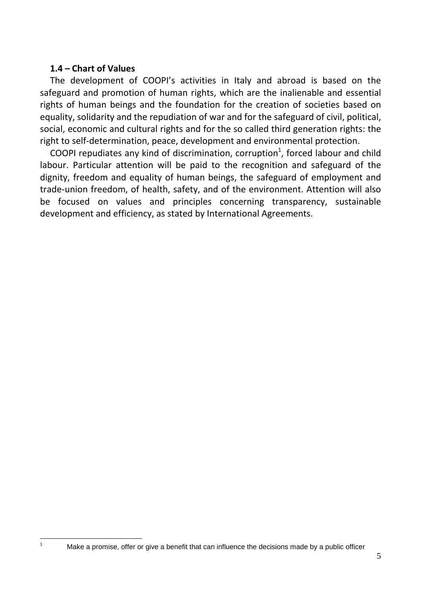## **1.4 – Chart of Values**

 $\overline{a}$ 1

The development of COOPI's activities in Italy and abroad is based on the safeguard and promotion of human rights, which are the inalienable and essential rights of human beings and the foundation for the creation of societies based on equality, solidarity and the repudiation of war and for the safeguard of civil, political, social, economic and cultural rights and for the so called third generation rights: the right to self-determination, peace, development and environmental protection.

COOPI repudiates any kind of discrimination, corruption<sup>1</sup>, forced labour and child labour. Particular attention will be paid to the recognition and safeguard of the dignity, freedom and equality of human beings, the safeguard of employment and trade-union freedom, of health, safety, and of the environment. Attention will also be focused on values and principles concerning transparency, sustainable development and efficiency, as stated by International Agreements.

Make a promise, offer or give a benefit that can influence the decisions made by a public officer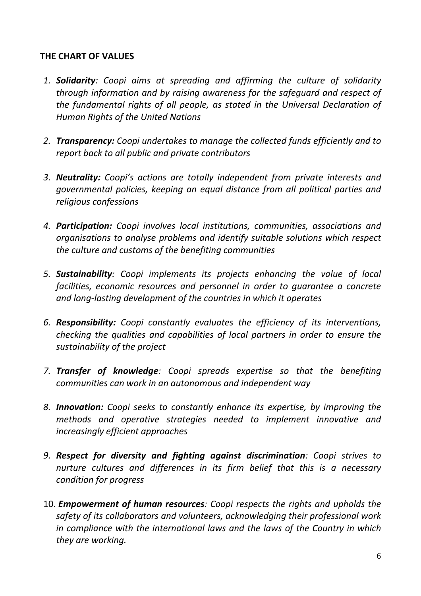# **THE CHART OF VALUES**

- *1. Solidarity: Coopi aims at spreading and affirming the culture of solidarity through information and by raising awareness for the safeguard and respect of the fundamental rights of all people, as stated in the Universal Declaration of Human Rights of the United Nations*
- *2. Transparency: Coopi undertakes to manage the collected funds efficiently and to report back to all public and private contributors*
- *3. Neutrality: Coopi's actions are totally independent from private interests and governmental policies, keeping an equal distance from all political parties and religious confessions*
- *4. Participation: Coopi involves local institutions, communities, associations and organisations to analyse problems and identify suitable solutions which respect the culture and customs of the benefiting communities*
- *5. Sustainability: Coopi implements its projects enhancing the value of local facilities, economic resources and personnel in order to guarantee a concrete and long-lasting development of the countries in which it operates*
- *6. Responsibility: Coopi constantly evaluates the efficiency of its interventions, checking the qualities and capabilities of local partners in order to ensure the sustainability of the project*
- *7. Transfer of knowledge: Coopi spreads expertise so that the benefiting communities can work in an autonomous and independent way*
- *8. Innovation: Coopi seeks to constantly enhance its expertise, by improving the methods and operative strategies needed to implement innovative and increasingly efficient approaches*
- *9. Respect for diversity and fighting against discrimination: Coopi strives to nurture cultures and differences in its firm belief that this is a necessary condition for progress*
- 10. *Empowerment of human resources: Coopi respects the rights and upholds the safety of its collaborators and volunteers, acknowledging their professional work in compliance with the international laws and the laws of the Country in which they are working.*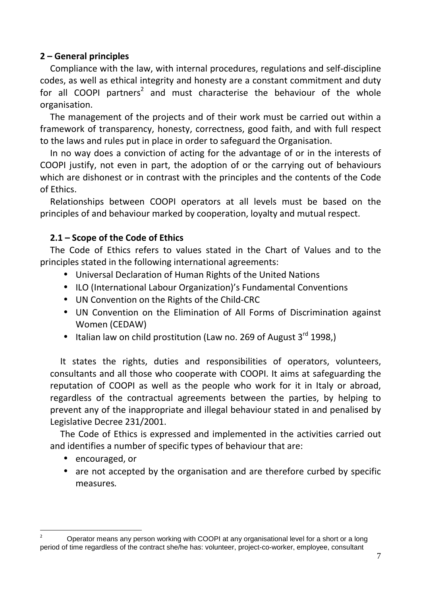# **2 – General principles**

Compliance with the law, with internal procedures, regulations and self-discipline codes, as well as ethical integrity and honesty are a constant commitment and duty for all COOPI partners<sup>2</sup> and must characterise the behaviour of the whole organisation.

The management of the projects and of their work must be carried out within a framework of transparency, honesty, correctness, good faith, and with full respect to the laws and rules put in place in order to safeguard the Organisation.

In no way does a conviction of acting for the advantage of or in the interests of COOPI justify, not even in part, the adoption of or the carrying out of behaviours which are dishonest or in contrast with the principles and the contents of the Code of Ethics.

Relationships between COOPI operators at all levels must be based on the principles of and behaviour marked by cooperation, loyalty and mutual respect.

# **2.1 – Scope of the Code of Ethics**

The Code of Ethics refers to values stated in the Chart of Values and to the principles stated in the following international agreements:

- Universal Declaration of Human Rights of the United Nations
- ILO (International Labour Organization)'s Fundamental Conventions
- UN Convention on the Rights of the Child-CRC
- UN Convention on the Elimination of All Forms of Discrimination against Women (CEDAW)
- Italian law on child prostitution (Law no. 269 of August  $3^{rd}$  1998.)

It states the rights, duties and responsibilities of operators, volunteers, consultants and all those who cooperate with COOPI. It aims at safeguarding the reputation of COOPI as well as the people who work for it in Italy or abroad, regardless of the contractual agreements between the parties, by helping to prevent any of the inappropriate and illegal behaviour stated in and penalised by Legislative Decree 231/2001.

The Code of Ethics is expressed and implemented in the activities carried out and identifies a number of specific types of behaviour that are:

• encouraged, or

 $\overline{a}$ 

• are not accepted by the organisation and are therefore curbed by specific measures*.* 

<sup>2</sup> Operator means any person working with COOPI at any organisational level for a short or a long period of time regardless of the contract she/he has: volunteer, project-co-worker, employee, consultant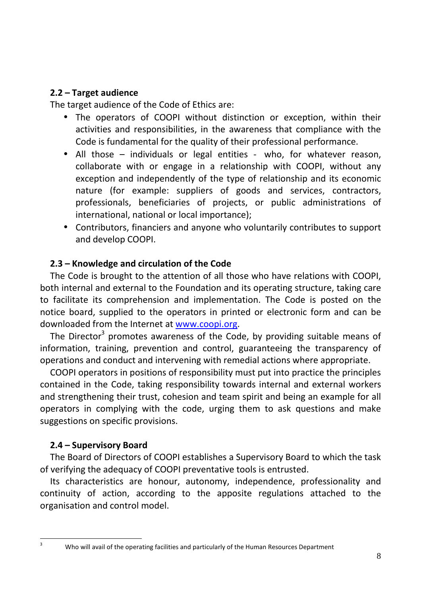## **2.2 – Target audience**

The target audience of the Code of Ethics are:

- The operators of COOPI without distinction or exception, within their activities and responsibilities, in the awareness that compliance with the Code is fundamental for the quality of their professional performance.
- All those individuals or legal entities who, for whatever reason, collaborate with or engage in a relationship with COOPI, without any exception and independently of the type of relationship and its economic nature (for example: suppliers of goods and services, contractors, professionals, beneficiaries of projects, or public administrations of international, national or local importance);
- Contributors, financiers and anyone who voluntarily contributes to support and develop COOPI.

# **2.3 – Knowledge and circulation of the Code**

The Code is brought to the attention of all those who have relations with COOPI, both internal and external to the Foundation and its operating structure, taking care to facilitate its comprehension and implementation. The Code is posted on the notice board, supplied to the operators in printed or electronic form and can be downloaded from the Internet at www.coopi.org.

The Director<sup>3</sup> promotes awareness of the Code, by providing suitable means of information, training, prevention and control, guaranteeing the transparency of operations and conduct and intervening with remedial actions where appropriate.

COOPI operators in positions of responsibility must put into practice the principles contained in the Code, taking responsibility towards internal and external workers and strengthening their trust, cohesion and team spirit and being an example for all operators in complying with the code, urging them to ask questions and make suggestions on specific provisions.

# **2.4 – Supervisory Board**

The Board of Directors of COOPI establishes a Supervisory Board to which the task of verifying the adequacy of COOPI preventative tools is entrusted.

Its characteristics are honour, autonomy, independence, professionality and continuity of action, according to the apposite regulations attached to the organisation and control model.

 $\overline{a}$ 3

Who will avail of the operating facilities and particularly of the Human Resources Department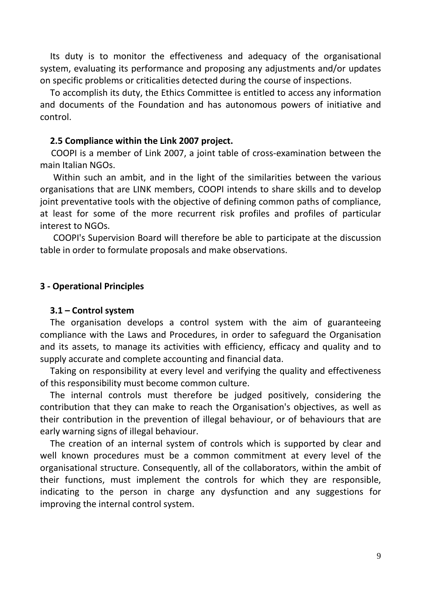Its duty is to monitor the effectiveness and adequacy of the organisational system, evaluating its performance and proposing any adjustments and/or updates on specific problems or criticalities detected during the course of inspections.

To accomplish its duty, the Ethics Committee is entitled to access any information and documents of the Foundation and has autonomous powers of initiative and control.

#### **2.5 Compliance within the Link 2007 project.**

 COOPI is a member of Link 2007, a joint table of cross-examination between the main Italian NGOs.

 Within such an ambit, and in the light of the similarities between the various organisations that are LINK members, COOPI intends to share skills and to develop joint preventative tools with the objective of defining common paths of compliance, at least for some of the more recurrent risk profiles and profiles of particular interest to NGOs.

 COOPI's Supervision Board will therefore be able to participate at the discussion table in order to formulate proposals and make observations.

#### **3 - Operational Principles**

#### **3.1 – Control system**

The organisation develops a control system with the aim of guaranteeing compliance with the Laws and Procedures, in order to safeguard the Organisation and its assets, to manage its activities with efficiency, efficacy and quality and to supply accurate and complete accounting and financial data.

Taking on responsibility at every level and verifying the quality and effectiveness of this responsibility must become common culture.

The internal controls must therefore be judged positively, considering the contribution that they can make to reach the Organisation's objectives, as well as their contribution in the prevention of illegal behaviour, or of behaviours that are early warning signs of illegal behaviour.

The creation of an internal system of controls which is supported by clear and well known procedures must be a common commitment at every level of the organisational structure. Consequently, all of the collaborators, within the ambit of their functions, must implement the controls for which they are responsible, indicating to the person in charge any dysfunction and any suggestions for improving the internal control system.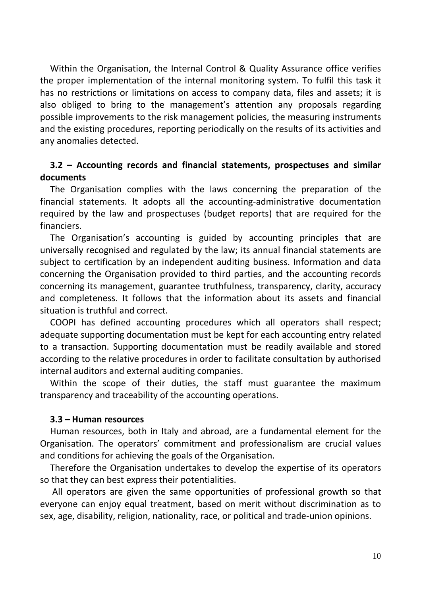Within the Organisation, the Internal Control & Quality Assurance office verifies the proper implementation of the internal monitoring system. To fulfil this task it has no restrictions or limitations on access to company data, files and assets; it is also obliged to bring to the management's attention any proposals regarding possible improvements to the risk management policies, the measuring instruments and the existing procedures, reporting periodically on the results of its activities and any anomalies detected.

# **3.2 – Accounting records and financial statements, prospectuses and similar documents**

The Organisation complies with the laws concerning the preparation of the financial statements. It adopts all the accounting-administrative documentation required by the law and prospectuses (budget reports) that are required for the financiers.

The Organisation's accounting is guided by accounting principles that are universally recognised and regulated by the law; its annual financial statements are subject to certification by an independent auditing business. Information and data concerning the Organisation provided to third parties, and the accounting records concerning its management, guarantee truthfulness, transparency, clarity, accuracy and completeness. It follows that the information about its assets and financial situation is truthful and correct.

COOPI has defined accounting procedures which all operators shall respect; adequate supporting documentation must be kept for each accounting entry related to a transaction. Supporting documentation must be readily available and stored according to the relative procedures in order to facilitate consultation by authorised internal auditors and external auditing companies.

Within the scope of their duties, the staff must guarantee the maximum transparency and traceability of the accounting operations.

#### **3.3 – Human resources**

Human resources, both in Italy and abroad, are a fundamental element for the Organisation. The operators' commitment and professionalism are crucial values and conditions for achieving the goals of the Organisation.

Therefore the Organisation undertakes to develop the expertise of its operators so that they can best express their potentialities.

 All operators are given the same opportunities of professional growth so that everyone can enjoy equal treatment, based on merit without discrimination as to sex, age, disability, religion, nationality, race, or political and trade-union opinions.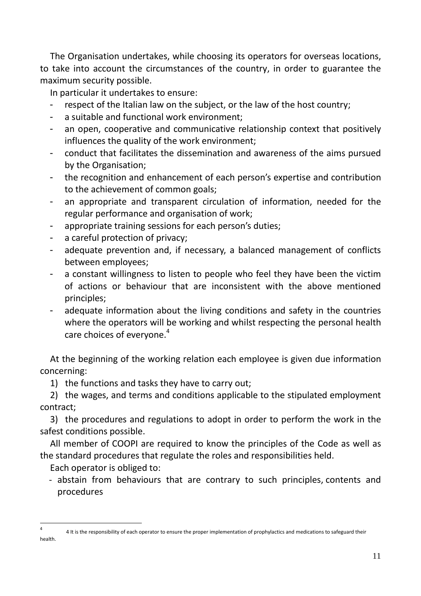The Organisation undertakes, while choosing its operators for overseas locations, to take into account the circumstances of the country, in order to guarantee the maximum security possible.

In particular it undertakes to ensure:

- respect of the Italian law on the subiect, or the law of the host country:
- a suitable and functional work environment;
- an open, cooperative and communicative relationship context that positively influences the quality of the work environment;
- conduct that facilitates the dissemination and awareness of the aims pursued by the Organisation;
- the recognition and enhancement of each person's expertise and contribution to the achievement of common goals;
- an appropriate and transparent circulation of information, needed for the regular performance and organisation of work;
- appropriate training sessions for each person's duties;
- a careful protection of privacy;
- adequate prevention and, if necessary, a balanced management of conflicts between employees;
- a constant willingness to listen to people who feel they have been the victim of actions or behaviour that are inconsistent with the above mentioned principles;
- adequate information about the living conditions and safety in the countries where the operators will be working and whilst respecting the personal health care choices of everyone.<sup>4</sup>

At the beginning of the working relation each employee is given due information concerning:

1) the functions and tasks they have to carry out;

2) the wages, and terms and conditions applicable to the stipulated employment contract;

3) the procedures and regulations to adopt in order to perform the work in the safest conditions possible.

All member of COOPI are required to know the principles of the Code as well as the standard procedures that regulate the roles and responsibilities held.

Each operator is obliged to:

- abstain from behaviours that are contrary to such principles, contents and procedures

 $\overline{a}$ 

<sup>4</sup>4 It is the responsibility of each operator to ensure the proper implementation of prophylactics and medications to safeguard their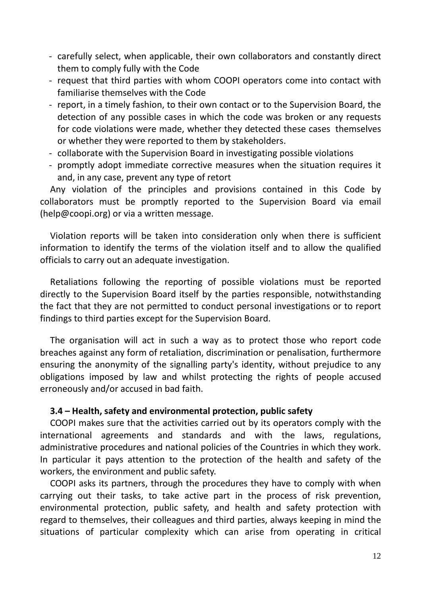- carefully select, when applicable, their own collaborators and constantly direct them to comply fully with the Code
- request that third parties with whom COOPI operators come into contact with familiarise themselves with the Code
- report, in a timely fashion, to their own contact or to the Supervision Board, the detection of any possible cases in which the code was broken or any requests for code violations were made, whether they detected these cases themselves or whether they were reported to them by stakeholders.
- collaborate with the Supervision Board in investigating possible violations
- promptly adopt immediate corrective measures when the situation requires it and, in any case, prevent any type of retort

Any violation of the principles and provisions contained in this Code by collaborators must be promptly reported to the Supervision Board via email (help@coopi.org) or via a written message.

Violation reports will be taken into consideration only when there is sufficient information to identify the terms of the violation itself and to allow the qualified officials to carry out an adequate investigation.

Retaliations following the reporting of possible violations must be reported directly to the Supervision Board itself by the parties responsible, notwithstanding the fact that they are not permitted to conduct personal investigations or to report findings to third parties except for the Supervision Board.

The organisation will act in such a way as to protect those who report code breaches against any form of retaliation, discrimination or penalisation, furthermore ensuring the anonymity of the signalling party's identity, without prejudice to any obligations imposed by law and whilst protecting the rights of people accused erroneously and/or accused in bad faith.

# **3.4 – Health, safety and environmental protection, public safety**

COOPI makes sure that the activities carried out by its operators comply with the international agreements and standards and with the laws, regulations, administrative procedures and national policies of the Countries in which they work. In particular it pays attention to the protection of the health and safety of the workers, the environment and public safety.

COOPI asks its partners, through the procedures they have to comply with when carrying out their tasks, to take active part in the process of risk prevention, environmental protection, public safety, and health and safety protection with regard to themselves, their colleagues and third parties, always keeping in mind the situations of particular complexity which can arise from operating in critical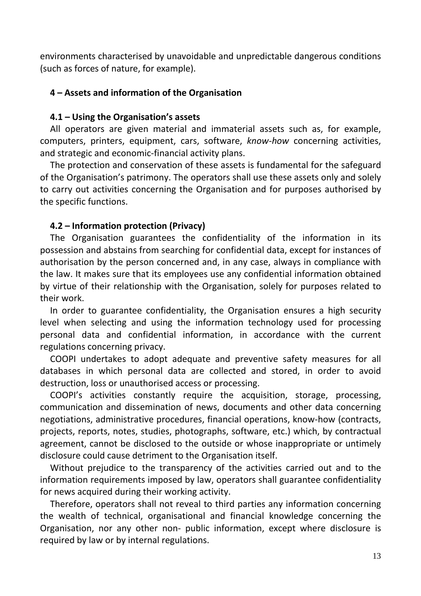environments characterised by unavoidable and unpredictable dangerous conditions (such as forces of nature, for example).

# **4 – Assets and information of the Organisation**

## **4.1 – Using the Organisation's assets**

All operators are given material and immaterial assets such as, for example, computers, printers, equipment, cars, software, *know-how* concerning activities, and strategic and economic-financial activity plans.

The protection and conservation of these assets is fundamental for the safeguard of the Organisation's patrimony. The operators shall use these assets only and solely to carry out activities concerning the Organisation and for purposes authorised by the specific functions.

# **4.2 – Information protection (Privacy)**

The Organisation guarantees the confidentiality of the information in its possession and abstains from searching for confidential data, except for instances of authorisation by the person concerned and, in any case, always in compliance with the law. It makes sure that its employees use any confidential information obtained by virtue of their relationship with the Organisation, solely for purposes related to their work.

In order to guarantee confidentiality, the Organisation ensures a high security level when selecting and using the information technology used for processing personal data and confidential information, in accordance with the current regulations concerning privacy.

COOPI undertakes to adopt adequate and preventive safety measures for all databases in which personal data are collected and stored, in order to avoid destruction, loss or unauthorised access or processing.

COOPI's activities constantly require the acquisition, storage, processing, communication and dissemination of news, documents and other data concerning negotiations, administrative procedures, financial operations, know-how (contracts, projects, reports, notes, studies, photographs, software, etc.) which, by contractual agreement, cannot be disclosed to the outside or whose inappropriate or untimely disclosure could cause detriment to the Organisation itself.

Without prejudice to the transparency of the activities carried out and to the information requirements imposed by law, operators shall guarantee confidentiality for news acquired during their working activity.

Therefore, operators shall not reveal to third parties any information concerning the wealth of technical, organisational and financial knowledge concerning the Organisation, nor any other non- public information, except where disclosure is required by law or by internal regulations.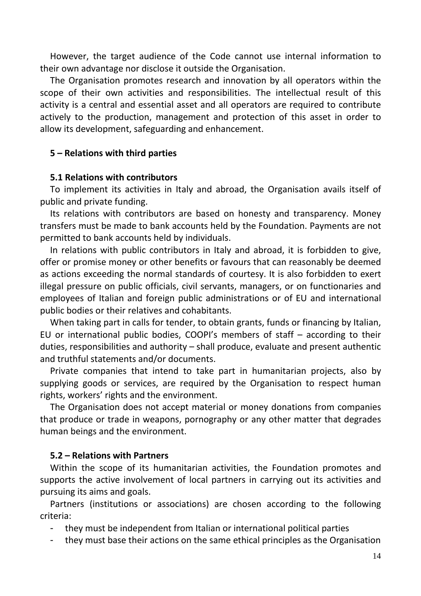However, the target audience of the Code cannot use internal information to their own advantage nor disclose it outside the Organisation.

The Organisation promotes research and innovation by all operators within the scope of their own activities and responsibilities. The intellectual result of this activity is a central and essential asset and all operators are required to contribute actively to the production, management and protection of this asset in order to allow its development, safeguarding and enhancement.

# **5 – Relations with third parties**

# **5.1 Relations with contributors**

To implement its activities in Italy and abroad, the Organisation avails itself of public and private funding.

Its relations with contributors are based on honesty and transparency. Money transfers must be made to bank accounts held by the Foundation. Payments are not permitted to bank accounts held by individuals.

In relations with public contributors in Italy and abroad, it is forbidden to give, offer or promise money or other benefits or favours that can reasonably be deemed as actions exceeding the normal standards of courtesy. It is also forbidden to exert illegal pressure on public officials, civil servants, managers, or on functionaries and employees of Italian and foreign public administrations or of EU and international public bodies or their relatives and cohabitants.

When taking part in calls for tender, to obtain grants, funds or financing by Italian, EU or international public bodies, COOPI's members of staff – according to their duties, responsibilities and authority – shall produce, evaluate and present authentic and truthful statements and/or documents.

Private companies that intend to take part in humanitarian projects, also by supplying goods or services, are required by the Organisation to respect human rights, workers' rights and the environment.

The Organisation does not accept material or money donations from companies that produce or trade in weapons, pornography or any other matter that degrades human beings and the environment.

# **5.2 – Relations with Partners**

Within the scope of its humanitarian activities, the Foundation promotes and supports the active involvement of local partners in carrying out its activities and pursuing its aims and goals.

Partners (institutions or associations) are chosen according to the following criteria:

- they must be independent from Italian or international political parties
- they must base their actions on the same ethical principles as the Organisation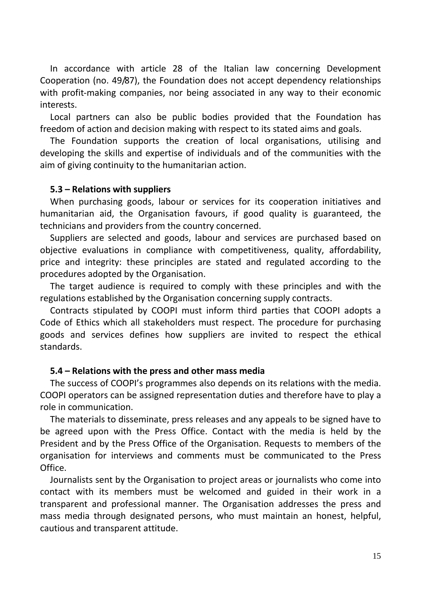In accordance with article 28 of the Italian law concerning Development Cooperation (no. 49/87), the Foundation does not accept dependency relationships with profit-making companies, nor being associated in any way to their economic interests.

Local partners can also be public bodies provided that the Foundation has freedom of action and decision making with respect to its stated aims and goals.

The Foundation supports the creation of local organisations, utilising and developing the skills and expertise of individuals and of the communities with the aim of giving continuity to the humanitarian action.

#### **5.3 – Relations with suppliers**

When purchasing goods, labour or services for its cooperation initiatives and humanitarian aid, the Organisation favours, if good quality is guaranteed, the technicians and providers from the country concerned.

Suppliers are selected and goods, labour and services are purchased based on objective evaluations in compliance with competitiveness, quality, affordability, price and integrity: these principles are stated and regulated according to the procedures adopted by the Organisation.

The target audience is required to comply with these principles and with the regulations established by the Organisation concerning supply contracts.

Contracts stipulated by COOPI must inform third parties that COOPI adopts a Code of Ethics which all stakeholders must respect. The procedure for purchasing goods and services defines how suppliers are invited to respect the ethical standards.

# **5.4 – Relations with the press and other mass media**

The success of COOPI's programmes also depends on its relations with the media. COOPI operators can be assigned representation duties and therefore have to play a role in communication.

The materials to disseminate, press releases and any appeals to be signed have to be agreed upon with the Press Office. Contact with the media is held by the President and by the Press Office of the Organisation. Requests to members of the organisation for interviews and comments must be communicated to the Press Office.

Journalists sent by the Organisation to project areas or journalists who come into contact with its members must be welcomed and guided in their work in a transparent and professional manner. The Organisation addresses the press and mass media through designated persons, who must maintain an honest, helpful, cautious and transparent attitude.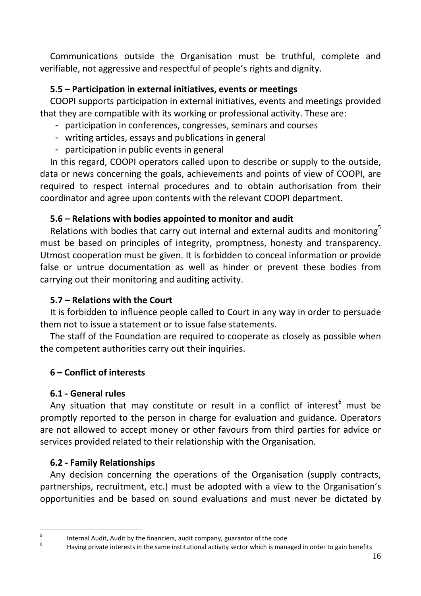Communications outside the Organisation must be truthful, complete and verifiable, not aggressive and respectful of people's rights and dignity.

# **5.5 – Participation in external initiatives, events or meetings**

COOPI supports participation in external initiatives, events and meetings provided that they are compatible with its working or professional activity. These are:

- participation in conferences, congresses, seminars and courses
- writing articles, essays and publications in general
- participation in public events in general

In this regard, COOPI operators called upon to describe or supply to the outside, data or news concerning the goals, achievements and points of view of COOPI, are required to respect internal procedures and to obtain authorisation from their coordinator and agree upon contents with the relevant COOPI department.

# **5.6 – Relations with bodies appointed to monitor and audit**

Relations with bodies that carry out internal and external audits and monitoring $5$ must be based on principles of integrity, promptness, honesty and transparency. Utmost cooperation must be given. It is forbidden to conceal information or provide false or untrue documentation as well as hinder or prevent these bodies from carrying out their monitoring and auditing activity.

# **5.7 – Relations with the Court**

It is forbidden to influence people called to Court in any way in order to persuade them not to issue a statement or to issue false statements.

The staff of the Foundation are required to cooperate as closely as possible when the competent authorities carry out their inquiries.

# **6 – Conflict of interests**

# **6.1 - General rules**

Any situation that may constitute or result in a conflict of interest<sup>6</sup> must be promptly reported to the person in charge for evaluation and guidance. Operators are not allowed to accept money or other favours from third parties for advice or services provided related to their relationship with the Organisation.

# **6.2 - Family Relationships**

Any decision concerning the operations of the Organisation (supply contracts, partnerships, recruitment, etc.) must be adopted with a view to the Organisation's opportunities and be based on sound evaluations and must never be dictated by

<sup>-&</sup>lt;br>5 Internal Audit, Audit by the financiers, audit company, guarantor of the code

<sup>6</sup> Having private interests in the same institutional activity sector which is managed in order to gain benefits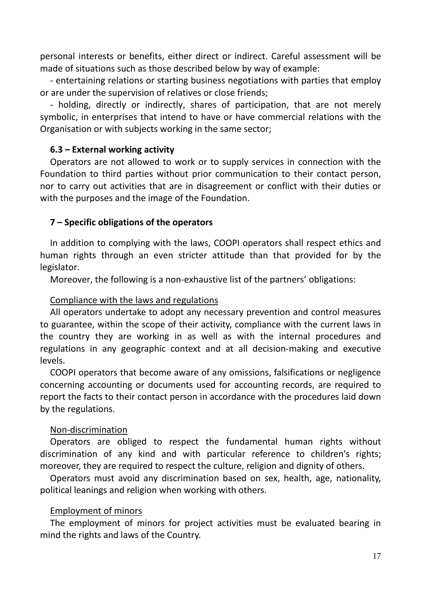personal interests or benefits, either direct or indirect. Careful assessment will be made of situations such as those described below by way of example:

- entertaining relations or starting business negotiations with parties that employ or are under the supervision of relatives or close friends;

- holding, directly or indirectly, shares of participation, that are not merely symbolic, in enterprises that intend to have or have commercial relations with the Organisation or with subjects working in the same sector;

#### **6.3 – External working activity**

Operators are not allowed to work or to supply services in connection with the Foundation to third parties without prior communication to their contact person, nor to carry out activities that are in disagreement or conflict with their duties or with the purposes and the image of the Foundation.

# **7 – Specific obligations of the operators**

In addition to complying with the laws, COOPI operators shall respect ethics and human rights through an even stricter attitude than that provided for by the legislator.

Moreover, the following is a non-exhaustive list of the partners' obligations:

# Compliance with the laws and regulations

All operators undertake to adopt any necessary prevention and control measures to guarantee, within the scope of their activity, compliance with the current laws in the country they are working in as well as with the internal procedures and regulations in any geographic context and at all decision-making and executive levels.

COOPI operators that become aware of any omissions, falsifications or negligence concerning accounting or documents used for accounting records, are required to report the facts to their contact person in accordance with the procedures laid down by the regulations.

#### Non-discrimination

Operators are obliged to respect the fundamental human rights without discrimination of any kind and with particular reference to children's rights; moreover, they are required to respect the culture, religion and dignity of others.

Operators must avoid any discrimination based on sex, health, age, nationality, political leanings and religion when working with others.

#### Employment of minors

The employment of minors for project activities must be evaluated bearing in mind the rights and laws of the Country.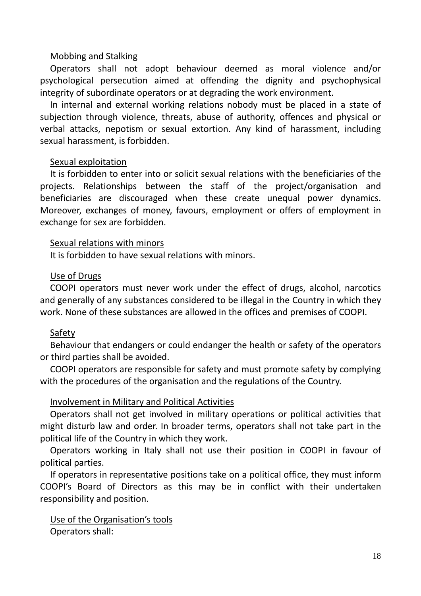## Mobbing and Stalking

Operators shall not adopt behaviour deemed as moral violence and/or psychological persecution aimed at offending the dignity and psychophysical integrity of subordinate operators or at degrading the work environment.

In internal and external working relations nobody must be placed in a state of subjection through violence, threats, abuse of authority, offences and physical or verbal attacks, nepotism or sexual extortion. Any kind of harassment, including sexual harassment, is forbidden.

## Sexual exploitation

It is forbidden to enter into or solicit sexual relations with the beneficiaries of the projects. Relationships between the staff of the project/organisation and beneficiaries are discouraged when these create unequal power dynamics. Moreover, exchanges of money, favours, employment or offers of employment in exchange for sex are forbidden.

#### Sexual relations with minors

It is forbidden to have sexual relations with minors.

## Use of Drugs

COOPI operators must never work under the effect of drugs, alcohol, narcotics and generally of any substances considered to be illegal in the Country in which they work. None of these substances are allowed in the offices and premises of COOPI.

# Safety

Behaviour that endangers or could endanger the health or safety of the operators or third parties shall be avoided.

COOPI operators are responsible for safety and must promote safety by complying with the procedures of the organisation and the regulations of the Country.

# Involvement in Military and Political Activities

Operators shall not get involved in military operations or political activities that might disturb law and order. In broader terms, operators shall not take part in the political life of the Country in which they work.

Operators working in Italy shall not use their position in COOPI in favour of political parties.

If operators in representative positions take on a political office, they must inform COOPI's Board of Directors as this may be in conflict with their undertaken responsibility and position.

Use of the Organisation's tools Operators shall: